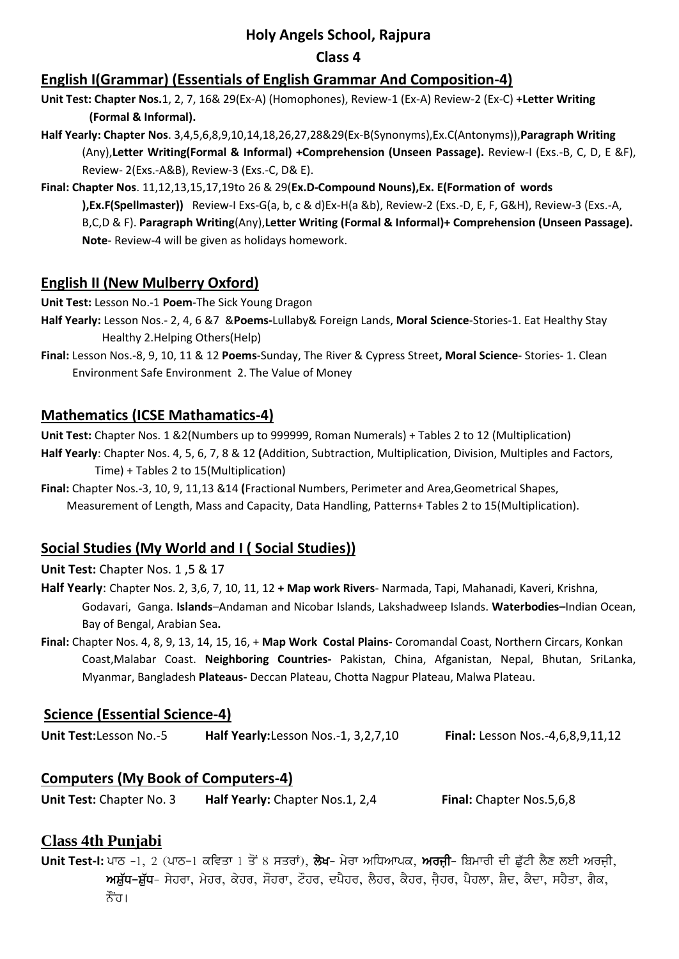## **Holy Angels School, Rajpura**

### **Class 4**

## **English I(Grammar) (Essentials of English Grammar And Composition-4)**

- **Unit Test: Chapter Nos.**1, 2, 7, 16& 29(Ex-A) (Homophones), Review-1 (Ex-A) Review-2 (Ex-C) +**Letter Writing (Formal & Informal).**
- **Half Yearly: Chapter Nos**. 3,4,5,6,8,9,10,14,18,26,27,28&29(Ex-B(Synonyms),Ex.C(Antonyms)),**Paragraph Writing**  (Any),**Letter Writing(Formal & Informal) +Comprehension (Unseen Passage).** Review-I (Exs.-B, C, D, E &F), Review- 2(Exs.-A&B), Review-3 (Exs.-C, D& E).
- **Final: Chapter Nos**. 11,12,13,15,17,19to 26 & 29(**Ex.D-Compound Nouns),Ex. E(Formation of words**

**),Ex.F(Spellmaster))** Review-I Exs-G(a, b, c & d)Ex-H(a &b), Review-2 (Exs.-D, E, F, G&H), Review-3 (Exs.-A, B,C,D & F). **Paragraph Writing**(Any),**Letter Writing (Formal & Informal)+ Comprehension (Unseen Passage). Note**- Review-4 will be given as holidays homework.

## **English II (New Mulberry Oxford)**

**Unit Test:** Lesson No.-1 **Poem**-The Sick Young Dragon

- **Half Yearly:** Lesson Nos.- 2, 4, 6 &7 &**Poems-**Lullaby& Foreign Lands, **Moral Science**-Stories-1. Eat Healthy Stay Healthy 2.Helping Others(Help)
- **Final:** Lesson Nos.-8, 9, 10, 11 & 12 **Poems**-Sunday, The River & Cypress Street**, Moral Science** Stories- 1. Clean Environment Safe Environment 2. The Value of Money

## **Mathematics (ICSE Mathamatics-4)**

**Unit Test:** Chapter Nos. 1 &2(Numbers up to 999999, Roman Numerals) + Tables 2 to 12 (Multiplication) **Half Yearly**: Chapter Nos. 4, 5, 6, 7, 8 & 12 **(**Addition, Subtraction, Multiplication, Division, Multiples and Factors, Time) + Tables 2 to 15(Multiplication)

**Final:** Chapter Nos.-3, 10, 9, 11,13 &14 **(**Fractional Numbers, Perimeter and Area,Geometrical Shapes, Measurement of Length, Mass and Capacity, Data Handling, Patterns+ Tables 2 to 15(Multiplication).

# **Social Studies (My World and I ( Social Studies))**

### **Unit Test:** Chapter Nos. 1 ,5 & 17

- **Half Yearly**: Chapter Nos. 2, 3,6, 7, 10, 11, 12 **+ Map work Rivers** Narmada, Tapi, Mahanadi, Kaveri, Krishna, Godavari, Ganga. **Islands**–Andaman and Nicobar Islands, Lakshadweep Islands. **Waterbodies–**Indian Ocean, Bay of Bengal, Arabian Sea**.**
- **Final:** Chapter Nos. 4, 8, 9, 13, 14, 15, 16, + **Map Work Costal Plains-** Coromandal Coast, Northern Circars, Konkan Coast,Malabar Coast. **Neighboring Countries-** Pakistan, China, Afganistan, Nepal, Bhutan, SriLanka, Myanmar, Bangladesh **Plateaus-** Deccan Plateau, Chotta Nagpur Plateau, Malwa Plateau.

## **Science (Essential Science-4)**

| Unit Test: Lesson No.-5 | Half Yearly: Lesson Nos.-1, 3,2,7,10 | <b>Final:</b> Lesson Nos.-4,6,8,9,11,12 |
|-------------------------|--------------------------------------|-----------------------------------------|
|-------------------------|--------------------------------------|-----------------------------------------|

# **Computers (My Book of Computers-4)**

**Unit Test:** Chapter No. 3 **Half Yearly:** Chapter Nos.1, 2,4 **Final:** Chapter Nos.5,6,8

# **Class 4th Punjabi**

**Unit Test-I:** ਪਾਠ –1, 2 (ਪਾਠ–1 ਕਵਿਤਾ 1 ਤੋਂ 8 ਸਤਰਾਂ), **ਲੇਖ**– ਮੇਰਾ ਅਧਿਆਪਕ, **ਅਰਜੀ**– ਬਿਮਾਰੀ ਦੀ ਛੱਟੀ ਲੈਣ ਲਈ ਅਰਜੀ, mਸ਼ੱਧ–ਸ਼ੱਧ– ਸੇਹਰਾ, ਮੇਹਰ, ਕੇਹਰ, ਸੌਹਰਾ, ਟੌਹਰ, ਦਪੈਹਰ, ਲੈਹਰ, ਕੈਹਰ, ਜੈਹਰ, ਪੈਹਲਾ, ਸ਼ੈਦ, ਕੈਦਾ, ਸਹੈਤਾ, ਗੈਕ, ਨੌਂਹ।